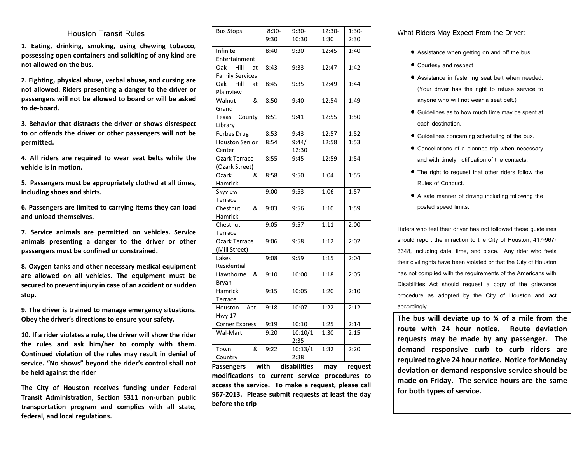## **Houston Transit Rules**

**1. Eating, drinking, smoking, using chewing tobacco, possessing open containers and soliciting of any kind are not allowed on the bus.** 

**2. Fighting, physical abuse, verbal abuse, and cursing are not allowed. Riders presenting a danger to the driver or passengers will not be allowed to board or will be asked to de-board.** 

**3. Behavior that distracts the driver or shows disrespect to or offends the driver or other passengers will not be permitted.** 

**4. All riders are required to wear seat belts while the vehicle is in motion.** 

**5. Passengers must be appropriately clothed at all times, including shoes and shirts.** 

**6. Passengers are limited to carrying items they can load and unload themselves.** 

**7. Service animals are permitted on vehicles. Service animals presenting a danger to the driver or other passengers must be confined or constrained.**

**8. Oxygen tanks and other necessary medical equipment are allowed on all vehicles. The equipment must be secured to prevent injury in case of an accident or sudden stop.** 

**9. The driver is trained to manage emergency situations. Obey the driver's directions to ensure your safety.** 

**10. If a rider violates a rule, the driver will show the rider the rules and ask him/her to comply with them. Continued violation of the rules may result in denial of service. "No shows" beyond the rider's control shall not be held against the rider**

**The City of Houston receives funding under Federal Transit Administration, Section 5311 non-urban public transportation program and complies with all state, federal, and local regulations.**

| <b>Bus Stops</b>       | $8:30-$<br>9:30 | $9:30-$<br>10:30 | 12:30-<br>1:30 | 1:30-<br>2:30 |
|------------------------|-----------------|------------------|----------------|---------------|
| Infinite               | 8:40            | 9:30             | 12:45          | 1:40          |
| Entertainment          |                 |                  |                |               |
| Hill<br>Oak<br>at      | 8:43            | 9:33             | 12:47          | 1:42          |
| <b>Family Services</b> |                 |                  |                |               |
| Hill<br>Oak<br>at      | 8:45            | 9:35             | 12:49          | 1:44          |
| Plainview              |                 |                  |                |               |
| &<br>Walnut            | 8:50            | 9:40             | 12:54          | 1:49          |
| Grand                  |                 |                  |                |               |
| County<br>Texas        | 8:51            | 9:41             | 12:55          | 1:50          |
| Library                |                 |                  |                |               |
| Forbes Drug            | 8:53            | 9:43             | 12:57          | 1:52          |
| <b>Houston Senior</b>  | 8:54            | 9:44/            | 12:58          | 1:53          |
| Center                 |                 | 12:30            |                |               |
| Ozark Terrace          | 8:55            | 9:45             | 12:59          | 1:54          |
| (Ozark Street)         |                 |                  |                |               |
| Ozark<br>&             | 8:58            | 9:50             | 1:04           | 1:55          |
| Hamrick                |                 |                  |                |               |
| Skyview                | 9:00            | 9:53             | 1:06           | 1:57          |
| Terrace                |                 |                  |                |               |
| Chestnut<br>&          | 9:03            | 9:56             | 1:10           | 1:59          |
| Hamrick                |                 |                  |                |               |
| Chestnut               | 9:05            | 9:57             | 1:11           | 2:00          |
| Terrace                |                 |                  |                |               |
| Ozark Terrace          | 9:06            | 9:58             | 1:12           | 2:02          |
| (Mill Street)          |                 |                  |                |               |
| Lakes                  | 9:08            | 9:59             | 1:15           | 2:04          |
| Residential            |                 |                  |                |               |
| Hawthorne<br>&         | 9:10            | 10:00            | 1:18           | 2:05          |
| Bryan                  |                 |                  |                |               |
| Hamrick                | 9:15            | 10:05            | 1:20           | 2:10          |
| Terrace                |                 |                  |                |               |
| Houston<br>Apt.        | 9:18            | 10:07            | 1:22           | 2:12          |
| <b>Hwy 17</b>          |                 |                  |                |               |
| <b>Corner Express</b>  | 9:19            | 10:10            | 1:25           | 2:14          |
| Wal-Mart               | 9:20            | 10:10/1          | 1:30           | 2:15          |
|                        |                 | 2:35             |                |               |
| &<br>Town              | 9:22            | 10:13/1          | 1:32           | 2:20          |
| Country                |                 | 2:38             |                |               |

**Passengers with disabilities may request modifications to current service procedures to access the service. To make a request, please call 967-2013. Please submit requests at least the day before the trip**

## **What Riders May Expect From the Driver:**

- **Assistance when getting on and off the bus**
- **Courtesy and respect**
- **Assistance in fastening seat belt when needed. (Your driver has the right to refuse service to anyone who will not wear a seat belt.)**
- **Guidelines as to how much time may be spent at each destination.**
- **Guidelines concerning scheduling of the bus.**
- **Cancellations of a planned trip when necessary and with timely notification of the contacts.**
- **The right to request that other riders follow the Rules of Conduct.**
- **A safe manner of driving including following the posted speed limits.**

**Riders who feel their driver has not followed these guidelines should report the infraction to the City of Houston, 417-967- 3348, including date, time, and place. Any rider who feels their civil rights have been violated or that the City of Houston has not complied with the requirements of the Americans with Disabilities Act should request a copy of the grievance procedure as adopted by the City of Houston and act accordingly.**

**The bus will deviate up to ¾ of a mile from the route with 24 hour notice. Route deviation requests may be made by any passenger. The demand responsive curb to curb riders are required to give 24 hour notice. Notice for Monday deviation or demand responsive service should be made on Friday. The service hours are the same for both types of service.**